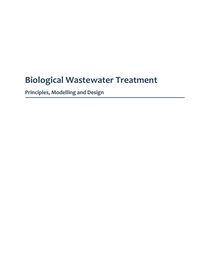# **Biological Wastewater Treatment**

**Principles, Modelling and Design**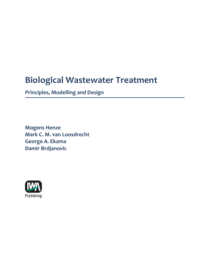# **Biological Wastewater Treatment**

**Principles, Modelling and Design** 

**Mogens Henze Mark C. M. van Loosdrecht George A. Ekama Damir Brdjanovic** 

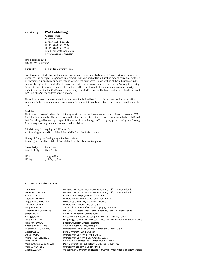#### Published by: **IWA Publishing**

 Alliance House 12 Caxton Street London SW1H 0QS, UK T: +44 (0) 20 7654 5500 F: +44 (0) 20 7654 5555 E: publications@iwap.co.uk I: www.iwapublishing.com

First published 2008 © 2008 IWA Publishing

#### Printed by: Cambridge University Press

Apart from any fair dealing for the purposes of research or private study, or criticism or review, as permitted under the UK Copyright, Designs and Patents Act (1998), no part of this publication may be reproduced, stored or transmitted in any form or by any means, without the prior permission in writing of the publisher, or, in the case of photographic reproduction, in accordance with the terms of licences issued by the Copyright Licensing Agency in the UK, or in accordance with the terms of licenses issued by the appropriate reproduction rights organization outside the UK. Enquiries concerning reproduction outside the terms stated here should be sent to IWA Publishing at the address printed above.

The publisher makes no representation, express or implied, with regard to the accuracy of the information contained in this book and cannot accept any legal responsibility or liability for errors or omissions that may be made.

#### Disclaimer

The information provided and the opinions given in this publication are not necessarily those of IWA and IWA Publishing and should not be acted upon without independent consideration and professional advice. IWA and IWA Publishing will not accept responsibility for any loss or damage suffered by any person acting or refraining from acting upon any material contained in this publication.

#### British Library Cataloguing in Publication Data

A CIP catalogue record for this book is available from the British Library

Library of Congress Cataloguing in Publication Data A catalogue record for this book is available from the Library of Congress

| Cover design:   | Peter Stroo |
|-----------------|-------------|
| Graphic design: | Hans Emeis  |
|                 |             |

ISBN: 1843391880<br>ISBN13: 97818433918 9781843391883

#### AUTHORS in alphabetical order:

| Gary AMY                 | UNESCO-IHE Institute for Water Education, Delft, The Netherlands       |
|--------------------------|------------------------------------------------------------------------|
| Damir BRDJANOVIC         | UNESCO-IHE Institute for Water Education, Delft, The Netherlands       |
| Yves COMEAU              | École Polytechnique, Montréal, Canada                                  |
| George A. EKAMA          | University Cape Town, Cape Town, South Africa                          |
| Jorge H. Orozco GARCIA   | Monterrey University, Monterrey, Mexico                                |
| Charles P. GERBA         | University of Arizona, Tucson, U.S.A.                                  |
| Mogens HENZE             | Technical University of Denmark, Lyngby, Denmark                       |
| Christine M. HOOIJMANS   | UNESCO-IHE Institute for Water Education, Delft, The Netherlands       |
| Simon JUDD               | Cranfield University, Cranfield, U.K.                                  |
| Byung-goon KIM           | Korean Water Resources Company - Kwater, Daejeon, Korea                |
| Jules B. van LIER        | Wageningen University and Research Centre, Wageningen, The Netherlands |
| Nidal MAHMOUD            | Birzeit University, Birzeit, Palestine                                 |
| Antonio M. MARTINS       | Áquas do Algarve, Faro, Portugal                                       |
| Eberhard F. MORGENROTH   | University of Illinois at Urbana-Champaign, Urbana, U.S.A.             |
| Gustaf OLSSON            | Lund University, Lund, Sweden                                          |
| Diego ROSSO              | University of California, Irvine, U.S.A.                               |
| Michael K. STENSTROM     | University of California, Los Angeles, U.S.A.                          |
| Imré TAKACS              | EnviroSim Associates Ltd., Flamborough, Canada                         |
| Mark C.M. van LOOSDRECHT | Delft University of Technology, Delft, The Netherlands                 |
| Mark C. WENTZEL          | University Cape Town, South Africa                                     |
| Grietje ZEEMAN           | Wageningen University and Research Centre, Wageningen, The Netherlands |
|                          |                                                                        |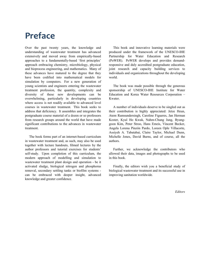# **Preface**

Over the past twenty years, the knowledge and understanding of wastewater treatment has advanced extensively and moved away from empirically-based approaches to a fundamentally-based 'first principles' approach embracing chemistry, microbiology, physical and bioprocess engineering, and mathematics. Many of these advances have matured to the degree that they have been codified into mathematical models for simulation by computers. For a new generation of young scientists and engineers entering the wastewater treatment profession, the quantity, complexity and diversity of these new developments can be overwhelming, particularly in developing countries where access is not readily available to advanced level courses in wastewater treatment. This book seeks to address that deficiency. It assembles and integrates the postgraduate course material of a dozen or so professors from research groups around the world that have made significant contributions to the advances in wastewater treatment.

 The book forms part of an internet-based curriculum in wastewater treatment and, as such, may also be used together with lecture handouts, filmed lectures by the author professors and tutorial exercises for students' self-study. Upon completion of this curriculum, the modern approach of modelling and simulation to wastewater treatment plant design and operation - be it activated sludge, biological nitrogen and phosphorus removal, secondary settling tanks or biofilm systems can be embraced with deeper insight, advanced knowledge and greater confidence.

 This book and innovative learning materials were produced under the framework of the UNESCO-IHE Partnership for Water Education and Research (PoWER). PoWER develops and provides demandresponsive and duly accredited postgraduate education, joint research and capacity building services to individuals and organizations throughout the developing world.

 The book was made possible through the generous sponsorship of UNESCO-IHE Institute for Water Education and Korea Water Resources Corporation – Kwater.

 A number of individuals deserve to be singled out as their contribution is highly appreciated: Jetze Heun, Atem Ramsundersingh, Caroline Figueres, Jan Herman Koster, Kyul Ho Kwak, Nahm-Chung Jung, Byunggoon Kim, Peter Stroo, Hans Emeis, Vincent Becker, Angela Lorena Pinzón Pardo, Loreen Ople Villacorte, Assiyeh A. Tabatabai, Claire Taylor, Michael Dunn, Michelle Jones, David Burns, and of course, all the authors.

 Further, we acknowledge the contributors who allowed their data, images and photographs to be used in this book.

 Finally, the editors wish you a beneficial study of biological wastewater treatment and its successful use in improving sanitation worldwide.

*Editors*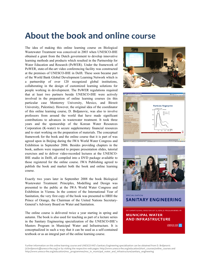## **About the book and online course**

The idea of making this online learning course on Biological Wastewater Treatment was conceived in 2003 when UNESCO-IHE obtained a grant from the Dutch government to develop innovative learning methods and products which resulted in the Partnership for Water Education and Research (PoWER). Under the framework of PoWER, state-of-the-art video conferencing facility was constructed at the premises of UNESCO-IHE in Delft. These soon became part of the World Bank Global Development Learning Network which is a partnership of over 120 recognized global institutions, collaborating in the design of customized learning solutions for people working in development. The PoWER regulations required that at least two partners beside UNESCO-IHE were actively involved in the preparation of online learning courses (in this particular case Monterrey University, Mexico, and Birzeit University, Palestine). However, the original idea of the coordinator of this online learning course, D. Brdjanovic, was also to involve professors from around the world that have made significant contributions to advances in wastewater treatment. It took three years and the sponsorship of the Korean Water Resources Corporation (K-water) to secure supplementary financial resources and to start working on the preparation of materials. The conceptual framework for the book and the online course that it is part of was agreed upon in Beijing during the IWA World Water Congress and Exhibition in September 2006. Besides providing chapters in the book, authors were requested to prepare presentation slides, tutorial exercises and to deliver video-recorded lectures at the UNESCO-IHE studio in Delft, all compiled into a DVD package available to those registered for the online course. IWA Publishing agreed to publish the book and market both the book and online learning course.

Exactly two years later in September 2008 the book Biological Wastewater Treatment: Principles, Modelling and Design was presented to the public at the IWA World Water Congress and Exhibition in Vienna. In the context of the International Year of Sanitation, the very first copy of the book was presented to HRH the Prince of Orange, the Chairman of the United Nations Secretary-General's Advisory Board on Water and Sanitation.

The online course is delivered twice a year starting in spring and autumn. The book is also used for teaching as part of a lecture series in the Sanitary Engineering specialization of the UNESCO-IHE's Masters Program in Municipal Water and Infrastructure. It is conceptualized in such a way that it can be used as a self-contained textbook or as an integral part of the online learning course.







**SPECIALISATION SANITARY ENGINEERING** 

INTERNATIONAL MASTER OF SCIENCE PROGRAMME IN **MUNICIPAL WATER** 

**AND INFRASTRUCTURE** 

UNESCO-IHE

Further information on this online learning course and UNESCO-IHE's Sanitary Engineering specialization can be obtained from D. Brdjanovic (d.brdjanovic@unesco-ihe.org) or by visiting the respective web pages: http://www.unesco-ihe.org/education/short\_courses/online\_courses and http://www.unesco-ihe.org/education/msc\_programmes/msc\_in\_municipal\_water\_and\_infrastructure/sanitary\_engineering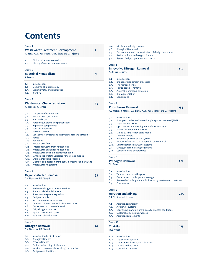# **Contents**

| Chapter 1<br><b>Wastewater Treatment Development</b><br>M. Henze, M.C.M. van Loosdrecht, G.A. Ekama and D. Brdjanovic                                                                                                                                                                                                                                                                                                                                                                                                                                                                                                                                                                                                                      | 1  |
|--------------------------------------------------------------------------------------------------------------------------------------------------------------------------------------------------------------------------------------------------------------------------------------------------------------------------------------------------------------------------------------------------------------------------------------------------------------------------------------------------------------------------------------------------------------------------------------------------------------------------------------------------------------------------------------------------------------------------------------------|----|
| Global drivers for sanitation<br>1.1.<br>History of wastewater treatment<br>1.2.                                                                                                                                                                                                                                                                                                                                                                                                                                                                                                                                                                                                                                                           |    |
| Chapter 2<br>Microbial Metabolism<br>Y. Comeau                                                                                                                                                                                                                                                                                                                                                                                                                                                                                                                                                                                                                                                                                             | 9  |
| Introduction<br>2.1.<br>Elements of microbiology<br>2.2.<br>Stoichiometry and energetics<br>2.3.<br><b>Kinetics</b><br>2.4.                                                                                                                                                                                                                                                                                                                                                                                                                                                                                                                                                                                                                |    |
| Chapter 3<br><b>Wastewater Characterization</b><br>M. Henze and Y. Comeau                                                                                                                                                                                                                                                                                                                                                                                                                                                                                                                                                                                                                                                                  | 33 |
| The origin of wastewater<br>3.1.<br>Wastewater constituents<br>3.2.<br><b>BOD and COD</b><br>3.3.<br>Person equivalents and person load<br>3.4.<br>Important components<br>3.5.<br>Special components<br>3.6.<br>Microorganisms<br>3.7.<br>Special wastewaters and internal plant recycle streams<br>3.8.<br>Ratios<br>3.9.<br>Variations<br>3.10.<br>Wastewater flows<br>3.11.<br>Traditional waste from households<br>3.12.<br>Wastewater design for households<br>3.13.<br>Wastewater and biomass fractionation<br>3.14.<br>Symbols list of state variables for selected models<br>3.15.<br>Characterization protocols<br>3.16.<br>Example composition of influent, bioreactor and effluent<br>3.17.<br>Wastewater fingerprint<br>3.18. |    |
| Chapter 4<br><b>Organic Matter Removal</b><br>G.A. Ekama and M.C. Wentzel                                                                                                                                                                                                                                                                                                                                                                                                                                                                                                                                                                                                                                                                  | 53 |
| Introduction<br>4.1.<br>Activated sludge system constraints<br>4.2.<br>Some model simplifications<br>4.3.<br>Steady-state system equations<br>4.4.<br>Design example<br>4.5.<br>Reactor volume requirements<br>4.6.<br>4.7.<br>Determination of reactor TSS concentration<br>4.8.<br>Carbonaceous oxygen demand<br>Daily sludge production<br>4.9.<br>System design and control<br>4.10.<br>Selection of sludge age<br>4.11.                                                                                                                                                                                                                                                                                                               |    |
| Chapter 5<br>Nitrogen Removal<br>G.A. Ekama and M.C. Wentzel                                                                                                                                                                                                                                                                                                                                                                                                                                                                                                                                                                                                                                                                               | 87 |
| Introduction to nitrification<br>5.1.<br><b>Biological kinetics</b><br>5.2.<br><b>Process kinetics</b><br>5.3.                                                                                                                                                                                                                                                                                                                                                                                                                                                                                                                                                                                                                             |    |

- 
- 5.4. Factors influencing nitrification<br>5.5. Nutrient requirements for sludg 5.5. Nutrient requirements for sludge production
- 5.6. Design considerations
- 
- 5.7. Nitrification design example<br>5.8. Biological N removal
- 5.8. Biological N removal
- 5.9. Development and demonstration of design procedure
- 5.10. System volume and oxygen demand
- 5.11. System design, operation and control

#### Chapter 6

#### **Innovative Nitrogen Removal 139 139** M.C.M. van Loosdrecht

#### 6.1. Introduction

- 6.2. Impact of side stream processes
- 6.3. The nitrogen cycle
- 6.4. Nitrite based N-removal<br>6.5. Anaerobic ammonia oxi
- 6.5. Anaerobic ammonia oxidation<br>6.6. Bio-augmentation
- 6.6. Bio-augmentation
- 6.7. Conclusions

#### Chapter 7

#### **Phosphorus Removal 155**  M.C. Wentzel, Y. Comeau, G.A. Ekama, M.C.M. van Loosdrecht and D. Brdjanovic

- 7.1. Introduction<br>7.2. Principle of e
- Principle of enhanced biological phosphorus removal (EBPR)
- 7.3. Mechanism of EBPR
- 7.4. Optimization and development of EBPR systems
- 7.5. Model development for EBPR
- Mixed culture steady state model
- 7.7. Design example
- 7.8. Influence of EBPR on the system
- 7.9. Factors influencing the magnitude of P removal<br>7.10. Denitrification in NDEBPR systems
- 7.10. Denitrification in NDEBPR systems
- 7.11. Glycogen accumulating organisms
- 7.12. Conclusion and perspectives

#### Chapter 8

| Pathogen Removal<br>C.P. Gerba | 221 |
|--------------------------------|-----|
|                                |     |

- 8.1. Introduction<br>8.2. Types of enter-
- 8.2. Types of enteric pathogens<br>8.3. Occurrence of pathogens in
- 8.3. Occurrence of pathogens in sewage<br>8.4. Removal of pathogens and indicator
- 8.4. Removal of pathogens and indicators by wastewater treatment 8.5. Conclusions
- Conclusions

#### Chapter 9

#### **Aeration and Mixing 245**  M.K. Stenstrom and D. Rosso

- 9.1. Aeration technology
- 9.2. Air blower systems
- 9.3. Converting manufacturers' data to process conditions
- 9.4. Sustainable aeration practices
- 9.5. Aeration requirements

### Chapter 10

**Toxicity 273**  J.H.G. Orozco

 $\overline{a}$ 

- 10.1. Introduction
- 
- 10.2. Measures of toxicity<br>10.3. Kinetic models for to Kinetic models for toxic substrates
- 10.4. Dealing with toxicity
- 10.5. Concluding remarks